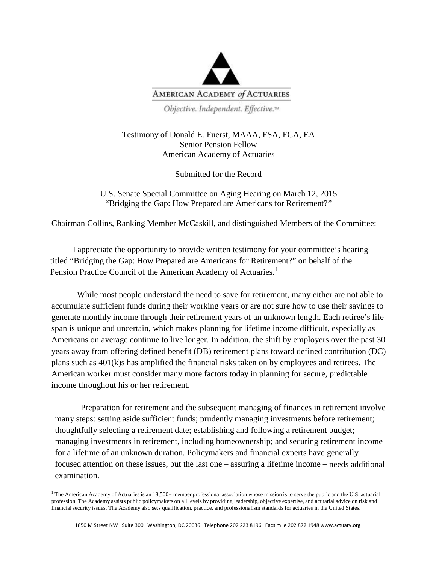

Objective. Independent. Effective.<sup>14</sup>

Testimony of Donald E. Fuerst, MAAA, FSA, FCA, EA Senior Pension Fellow American Academy of Actuaries

Submitted for the Record

U.S. Senate Special Committee on Aging Hearing on March 12, 2015 "Bridging the Gap: How Prepared are Americans for Retirement?"

Chairman Collins, Ranking Member McCaskill, and distinguished Members of the Committee:

I appreciate the opportunity to provide written testimony for your committee's hearing titled "Bridging the Gap: How Prepared are Americans for Retirement?" on behalf of the Pension Practice Council of the American Academy of Actuaries.<sup>[1](#page-0-0)</sup>

While most people understand the need to save for retirement, many either are not able to accumulate sufficient funds during their working years or are not sure how to use their savings to generate monthly income through their retirement years of an unknown length. Each retiree's life span is unique and uncertain, which makes planning for lifetime income difficult, especially as Americans on average continue to live longer. In addition, the shift by employers over the past 30 years away from offering defined benefit (DB) retirement plans toward defined contribution (DC) plans such as 401(k)s has amplified the financial risks taken on by employees and retirees. The American worker must consider many more factors today in planning for secure, predictable income throughout his or her retirement.

Preparation for retirement and the subsequent managing of finances in retirement involve many steps: setting aside sufficient funds; prudently managing investments before retirement; thoughtfully selecting a retirement date; establishing and following a retirement budget; managing investments in retirement, including homeownership; and securing retirement income for a lifetime of an unknown duration. Policymakers and financial experts have generally focused attention on these issues, but the last one – assuring a lifetime income – needs additional examination.

<span id="page-0-0"></span>**.** 

 $<sup>1</sup>$  The American Academy of Actuaries is an 18,500+ member professional association whose mission is to serve the public and the U.S. actuarial</sup> profession. The Academy assists public policymakers on all levels by providing leadership, objective expertise, and actuarial advice on risk and financial security issues. The Academy also sets qualification, practice, and professionalism standards for actuaries in the United States.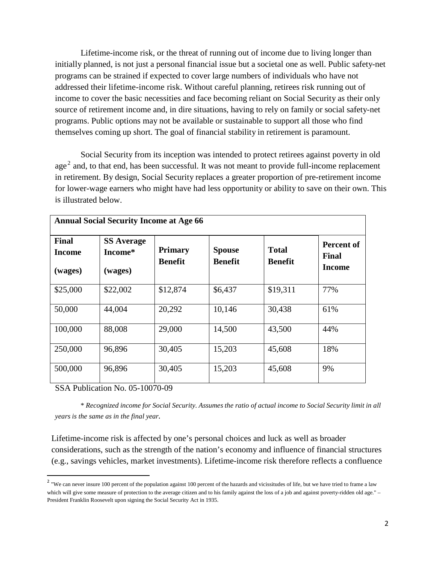Lifetime-income risk, or the threat of running out of income due to living longer than initially planned, is not just a personal financial issue but a societal one as well. Public safety-net programs can be strained if expected to cover large numbers of individuals who have not addressed their lifetime-income risk. Without careful planning, retirees risk running out of income to cover the basic necessities and face becoming reliant on Social Security as their only source of retirement income and, in dire situations, having to rely on family or social safety-net programs. Public options may not be available or sustainable to support all those who find themselves coming up short. The goal of financial stability in retirement is paramount.

Social Security from its inception was intended to protect retirees against poverty in old age<sup>[2](#page-1-0)</sup> and, to that end, has been successful. It was not meant to provide full-income replacement in retirement. By design, Social Security replaces a greater proportion of pre-retirement income for lower-wage earners who might have had less opportunity or ability to save on their own. This is illustrated below.

| <b>Annual Social Security Income at Age 66</b> |                                         |                                  |                          |                                |                                             |
|------------------------------------------------|-----------------------------------------|----------------------------------|--------------------------|--------------------------------|---------------------------------------------|
| <b>Final</b><br><b>Income</b><br>(wages)       | <b>SS Average</b><br>Income*<br>(wages) | <b>Primary</b><br><b>Benefit</b> | <b>Spouse</b><br>Benefit | <b>Total</b><br><b>Benefit</b> | Percent of<br><b>Final</b><br><b>Income</b> |
| \$25,000                                       | \$22,002                                | \$12,874                         | \$6,437                  | \$19,311                       | 77%                                         |
| 50,000                                         | 44,004                                  | 20,292                           | 10,146                   | 30,438                         | 61%                                         |
| 100,000                                        | 88,008                                  | 29,000                           | 14,500                   | 43,500                         | 44%                                         |
| 250,000                                        | 96,896                                  | 30,405                           | 15,203                   | 45,608                         | 18%                                         |
| 500,000                                        | 96,896                                  | 30,405                           | 15,203                   | 45,608                         | 9%                                          |

SSA Publication No. 05-10070-09

\* *Recognized income for Social Security. Assumes the ratio of actual income to Social Security limit in all years is the same as in the final year.*

Lifetime-income risk is affected by one's personal choices and luck as well as broader considerations, such as the strength of the nation's economy and influence of financial structures (e.g., savings vehicles, market investments). Lifetime-income risk therefore reflects a confluence

<span id="page-1-0"></span> $2$  "We can never insure 100 percent of the population against 100 percent of the hazards and vicissitudes of life, but we have tried to frame a law which will give some measure of protection to the average citizen and to his family against the loss of a job and against poverty-ridden old age." – President Franklin Roosevelt upon signing the Social Security Act in 1935.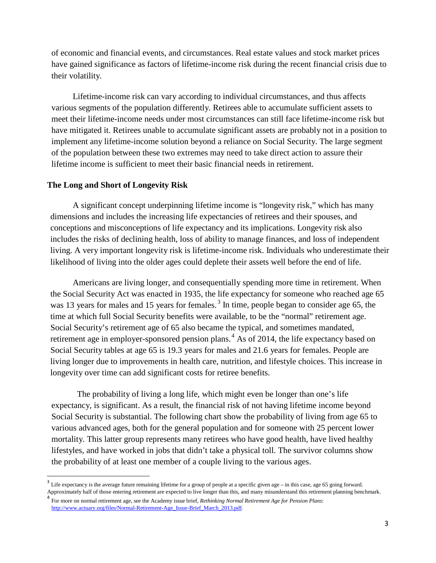of economic and financial events, and circumstances. Real estate values and stock market prices have gained significance as factors of lifetime-income risk during the recent financial crisis due to their volatility.

Lifetime-income risk can vary according to individual circumstances, and thus affects various segments of the population differently. Retirees able to accumulate sufficient assets to meet their lifetime-income needs under most circumstances can still face lifetime-income risk but have mitigated it. Retirees unable to accumulate significant assets are probably not in a position to implement any lifetime-income solution beyond a reliance on Social Security. The large segment of the population between these two extremes may need to take direct action to assure their lifetime income is sufficient to meet their basic financial needs in retirement.

# **The Long and Short of Longevity Risk**

A significant concept underpinning lifetime income is "longevity risk," which has many dimensions and includes the increasing life expectancies of retirees and their spouses, and conceptions and misconceptions of life expectancy and its implications. Longevity risk also includes the risks of declining health, loss of ability to manage finances, and loss of independent living. A very important longevity risk is lifetime-income risk. Individuals who underestimate their likelihood of living into the older ages could deplete their assets well before the end of life.

Americans are living longer, and consequentially spending more time in retirement. When the Social Security Act was enacted in 1935, the life expectancy for someone who reached age 65 was 1[3](#page-2-0) years for males and 15 years for females.<sup>3</sup> In time, people began to consider age 65, the time at which full Social Security benefits were available, to be the "normal" retirement age. Social Security's retirement age of 65 also became the typical, and sometimes mandated, retirement age in employer-sponsored pension plans.<sup>[4](#page-2-1)</sup> As of 2014, the life expectancy based on Social Security tables at age 65 is 19.3 years for males and 21.6 years for females. People are living longer due to improvements in health care, nutrition, and lifestyle choices. This increase in longevity over time can add significant costs for retiree benefits.

The probability of living a long life, which might even be longer than one's life expectancy, is significant. As a result, the financial risk of not having lifetime income beyond Social Security is substantial. The following chart show the probability of living from age 65 to various advanced ages, both for the general population and for someone with 25 percent lower mortality. This latter group represents many retirees who have good health, have lived healthy lifestyles, and have worked in jobs that didn't take a physical toll. The survivor columns show the probability of at least one member of a couple living to the various ages.

<span id="page-2-0"></span>Life expectancy is the average future remaining lifetime for a group of people at a specific given age – in this case, age 65 going forward. Approximately half of those entering retirement are expected to live longer than this, and many misunderstand this retirement planning benchmark.

<span id="page-2-1"></span><sup>4</sup> For more on normal retirement age, see the Academy issue brief, *Rethinking Normal Retirement Age for Pension Plans*: [http://www.actuary.org/files/Normal-Retirement-Age\\_Issue-Brief\\_March\\_2013.pdf.](http://www.actuary.org/files/Normal-Retirement-Age_Issue-Brief_March_2013.pdf)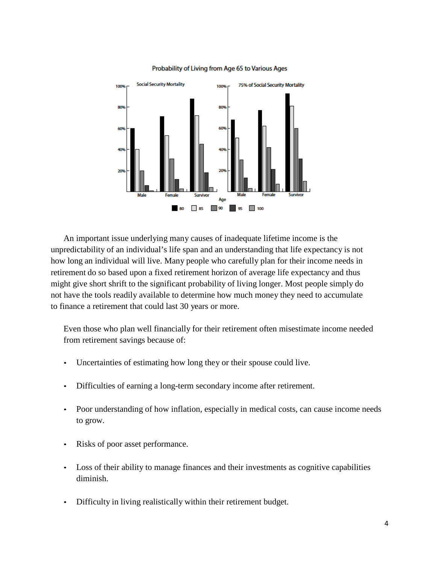

#### Probability of Living from Age 65 to Various Ages

An important issue underlying many causes of inadequate lifetime income is the unpredictability of an individual's life span and an understanding that life expectancy is not how long an individual will live. Many people who carefully plan for their income needs in retirement do so based upon a fixed retirement horizon of average life expectancy and thus might give short shrift to the significant probability of living longer. Most people simply do not have the tools readily available to determine how much money they need to accumulate to finance a retirement that could last 30 years or more.

Even those who plan well financially for their retirement often misestimate income needed from retirement savings because of:

- Uncertainties of estimating how long they or their spouse could live.
- Difficulties of earning a long-term secondary income after retirement.
- Poor understanding of how inflation, especially in medical costs, can cause income needs to grow.
- Risks of poor asset performance.
- Loss of their ability to manage finances and their investments as cognitive capabilities diminish.
- Difficulty in living realistically within their retirement budget.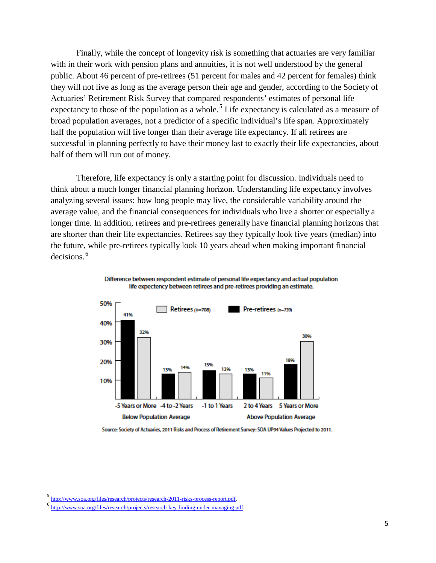Finally, while the concept of longevity risk is something that actuaries are very familiar with in their work with pension plans and annuities, it is not well understood by the general public. About 46 percent of pre-retirees (51 percent for males and 42 percent for females) think they will not live as long as the average person their age and gender, according to the Society of Actuaries' Retirement Risk Survey that compared respondents' estimates of personal life expectancy to those of the population as a whole.<sup>[5](#page-4-0)</sup> Life expectancy is calculated as a measure of broad population averages, not a predictor of a specific individual's life span. Approximately half the population will live longer than their average life expectancy. If all retirees are successful in planning perfectly to have their money last to exactly their life expectancies, about half of them will run out of money.

Therefore, life expectancy is only a starting point for discussion. Individuals need to think about a much longer financial planning horizon. Understanding life expectancy involves analyzing several issues: how long people may live, the considerable variability around the average value, and the financial consequences for individuals who live a shorter or especially a longer time. In addition, retirees and pre-retirees generally have financial planning horizons that are shorter than their life expectancies. Retirees say they typically look five years (median) into the future, while pre-retirees typically look 10 years ahead when making important financial decisions. [6](#page-4-1)





Source: Society of Actuaries, 2011 Risks and Process of Retirement Survey: SOA UP94 Values Projected to 2011.

<span id="page-4-0"></span> <sup>5</sup> [http://www.soa.org/files/research/projects/research-2011-risks-process-report.pdf.](http://www.soa.org/files/research/projects/research-2011-risks-process-report.pdf)

<span id="page-4-1"></span><sup>6</sup> [http://www.soa.org/files/research/projects/research-key-finding-under-managing.pdf.](http://www.soa.org/files/research/projects/research-key-finding-under-managing.pdf)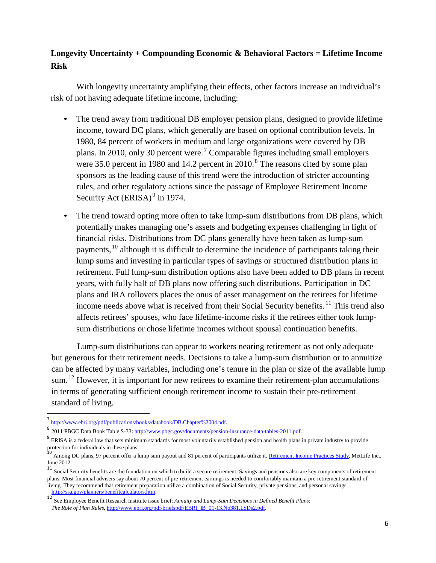# **Longevity Uncertainty + Compounding Economic & Behavioral Factors = Lifetime Income Risk**

With longevity uncertainty amplifying their effects, other factors increase an individual's risk of not having adequate lifetime income, including:

- The trend away from traditional DB employer pension plans, designed to provide lifetime income, toward DC plans, which generally are based on optional contribution levels. In 1980, 84 percent of workers in medium and large organizations were covered by DB plans. In 2010, only 30 percent were.<sup>[7](#page-5-0)</sup> Comparable figures including small employers were 35.0 percent in 19[8](#page-5-1)0 and 14.2 percent in 2010.<sup>8</sup> The reasons cited by some plan sponsors as the leading cause of this trend were the introduction of stricter accounting rules, and other regulatory actions since the passage of Employee Retirement Income Security Act (ERISA)<sup>[9](#page-5-2)</sup> in 1974.
- The trend toward opting more often to take lump-sum distributions from DB plans, which potentially makes managing one's assets and budgeting expenses challenging in light of financial risks. Distributions from DC plans generally have been taken as lump-sum payments, <sup>[10](#page-5-3)</sup> although it is difficult to determine the incidence of participants taking their lump sums and investing in particular types of savings or structured distribution plans in retirement. Full lump-sum distribution options also have been added to DB plans in recent years, with fully half of DB plans now offering such distributions. Participation in DC plans and IRA rollovers places the onus of asset management on the retirees for lifetime income needs above what is received from their Social Security benefits.<sup>[11](#page-5-4)</sup> This trend also affects retirees' spouses, who face lifetime-income risks if the retirees either took lumpsum distributions or chose lifetime incomes without spousal continuation benefits.

Lump-sum distributions can appear to workers nearing retirement as not only adequate but generous for their retirement needs. Decisions to take a lump-sum distribution or to annuitize can be affected by many variables, including one's tenure in the plan or size of the available lump sum.<sup>[12](#page-5-5)</sup> However, it is important for new retirees to examine their retirement-plan accumulations in terms of generating sufficient enough retirement income to sustain their pre-retirement standard of living.

[http://www.ebri.org/pdf/publications/books/databook/DB.Chapter%2004.pdf.](http://www.ebri.org/pdf/publications/books/databook/DB.Chapter%2004.pdf)

<span id="page-5-1"></span><span id="page-5-0"></span><sup>8</sup> <sup>2011</sup> PBGC Data Book Table S-33[: http://www.pbgc.gov/documents/pension-insurance-data-tables-2011.pdf.](http://www.pbgc.gov/documents/pension-insurance-data-tables-2011.pdf)

<span id="page-5-2"></span>ERISA is a federal law that sets minimum standards for most voluntarily established pension and health plans in private industry to provide protection for individuals in these plans.<br><sup>10</sup> Among DC plans, 97 percent offer a lump sum payout and 81 percent of participants utilize it. <u>Retirement Income Practices Study</u>, MetLife Inc.,

<span id="page-5-3"></span>June 2012.

<span id="page-5-4"></span><sup>&</sup>lt;sup>11</sup> Social Security benefits are the foundation on which to build a secure retirement. Savings and pensions also are key components of retirement plans. Most financial advisers say about 70 percent of pre-retirement earnings is needed to comfortably maintain a pre-retirement standard of living. They recommend that retirement preparation utilize a combination of Social Security, private pensions, and personal savings. [http://ssa.gov/planners/benefitcalculators.htm.](http://ssa.gov/planners/benefitcalculators.htm)

<span id="page-5-5"></span><sup>12&</sup>lt;br>
12 See Employee Benefit Research Institute issue brief: *Annuity and Lump-Sum Decisions in Defined Benefit Plans*: *The Role of Plan Rules*, [http://www.ebri.org/pdf/briefspdf/EBRI\\_IB\\_01-13.No381.LSDs2.pdf.](http://www.ebri.org/pdf/briefspdf/EBRI_IB_01-13.No381.LSDs2.pdf)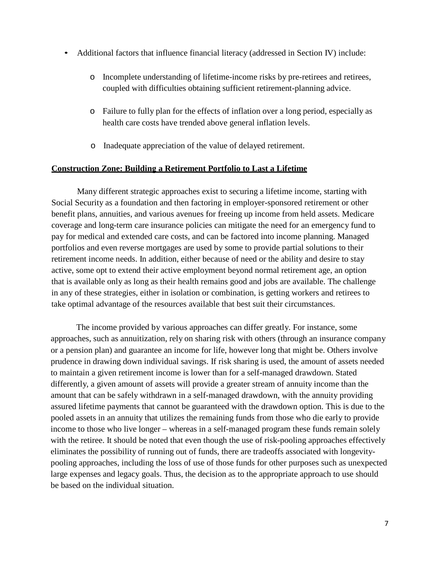- Additional factors that influence financial literacy (addressed in Section IV) include:
	- o Incomplete understanding of lifetime-income risks by pre-retirees and retirees, coupled with difficulties obtaining sufficient retirement-planning advice.
	- o Failure to fully plan for the effects of inflation over a long period, especially as health care costs have trended above general inflation levels.
	- o Inadequate appreciation of the value of delayed retirement.

## **Construction Zone: Building a Retirement Portfolio to Last a Lifetime**

Many different strategic approaches exist to securing a lifetime income, starting with Social Security as a foundation and then factoring in employer-sponsored retirement or other benefit plans, annuities, and various avenues for freeing up income from held assets. Medicare coverage and long-term care insurance policies can mitigate the need for an emergency fund to pay for medical and extended care costs, and can be factored into income planning. Managed portfolios and even reverse mortgages are used by some to provide partial solutions to their retirement income needs. In addition, either because of need or the ability and desire to stay active, some opt to extend their active employment beyond normal retirement age, an option that is available only as long as their health remains good and jobs are available. The challenge in any of these strategies, either in isolation or combination, is getting workers and retirees to take optimal advantage of the resources available that best suit their circumstances.

The income provided by various approaches can differ greatly. For instance, some approaches, such as annuitization, rely on sharing risk with others (through an insurance company or a pension plan) and guarantee an income for life, however long that might be. Others involve prudence in drawing down individual savings. If risk sharing is used, the amount of assets needed to maintain a given retirement income is lower than for a self-managed drawdown. Stated differently, a given amount of assets will provide a greater stream of annuity income than the amount that can be safely withdrawn in a self-managed drawdown, with the annuity providing assured lifetime payments that cannot be guaranteed with the drawdown option. This is due to the pooled assets in an annuity that utilizes the remaining funds from those who die early to provide income to those who live longer – whereas in a self-managed program these funds remain solely with the retiree. It should be noted that even though the use of risk-pooling approaches effectively eliminates the possibility of running out of funds, there are tradeoffs associated with longevitypooling approaches, including the loss of use of those funds for other purposes such as unexpected large expenses and legacy goals. Thus, the decision as to the appropriate approach to use should be based on the individual situation.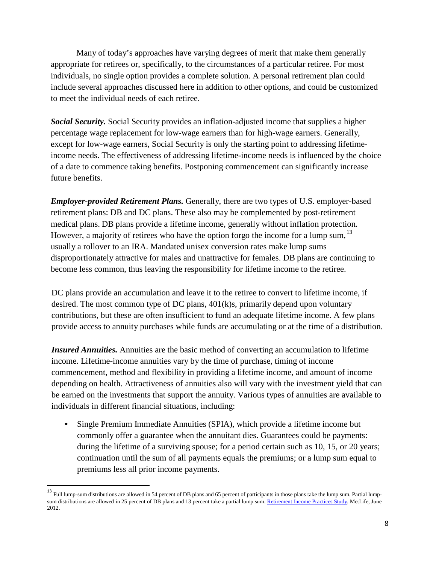Many of today's approaches have varying degrees of merit that make them generally appropriate for retirees or, specifically, to the circumstances of a particular retiree. For most individuals, no single option provides a complete solution. A personal retirement plan could include several approaches discussed here in addition to other options, and could be customized to meet the individual needs of each retiree.

*Social Security.* Social Security provides an inflation-adjusted income that supplies a higher percentage wage replacement for low-wage earners than for high-wage earners. Generally, except for low-wage earners, Social Security is only the starting point to addressing lifetimeincome needs. The effectiveness of addressing lifetime-income needs is influenced by the choice of a date to commence taking benefits. Postponing commencement can significantly increase future benefits.

*Employer-provided Retirement Plans.* Generally, there are two types of U.S. employer-based retirement plans: DB and DC plans. These also may be complemented by post-retirement medical plans. DB plans provide a lifetime income, generally without inflation protection. However, a majority of retirees who have the option forgo the income for a lump sum, <sup>[13](#page-7-0)</sup> usually a rollover to an IRA. Mandated unisex conversion rates make lump sums disproportionately attractive for males and unattractive for females. DB plans are continuing to become less common, thus leaving the responsibility for lifetime income to the retiree.

DC plans provide an accumulation and leave it to the retiree to convert to lifetime income, if desired. The most common type of DC plans, 401(k)s, primarily depend upon voluntary contributions, but these are often insufficient to fund an adequate lifetime income. A few plans provide access to annuity purchases while funds are accumulating or at the time of a distribution.

*Insured Annuities.* Annuities are the basic method of converting an accumulation to lifetime income. Lifetime-income annuities vary by the time of purchase, timing of income commencement, method and flexibility in providing a lifetime income, and amount of income depending on health. Attractiveness of annuities also will vary with the investment yield that can be earned on the investments that support the annuity. Various types of annuities are available to individuals in different financial situations, including:

• Single Premium Immediate Annuities (SPIA), which provide a lifetime income but commonly offer a guarantee when the annuitant dies. Guarantees could be payments: during the lifetime of a surviving spouse; for a period certain such as 10, 15, or 20 years; continuation until the sum of all payments equals the premiums; or a lump sum equal to premiums less all prior income payments.

<span id="page-7-0"></span><sup>&</sup>lt;sup>13</sup> Full lump-sum distributions are allowed in 54 percent of DB plans and 65 percent of participants in those plans take the lump sum. Partial lump-sum distributions are allowed in 25 percent of DB plans and 13 percent take a partial lump sum[. Retirement](https://www.metlife.com/assets/cao/institutional-retirement/retirement_income_practices_exp1215.pdf) Income Practices Study, MetLife, June 2012.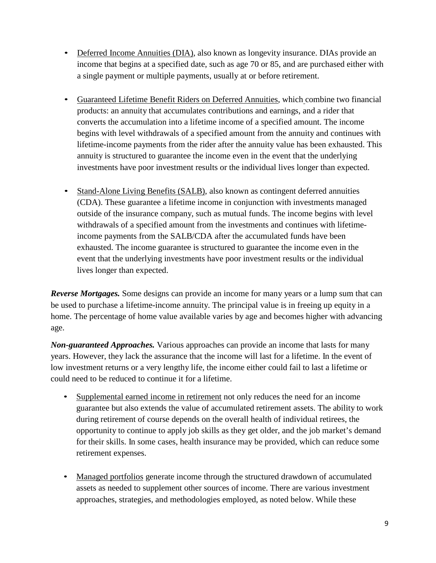- Deferred Income Annuities (DIA), also known as longevity insurance. DIAs provide an income that begins at a specified date, such as age 70 or 85, and are purchased either with a single payment or multiple payments, usually at or before retirement.
- Guaranteed Lifetime Benefit Riders on Deferred Annuities, which combine two financial products: an annuity that accumulates contributions and earnings, and a rider that converts the accumulation into a lifetime income of a specified amount. The income begins with level withdrawals of a specified amount from the annuity and continues with lifetime-income payments from the rider after the annuity value has been exhausted. This annuity is structured to guarantee the income even in the event that the underlying investments have poor investment results or the individual lives longer than expected.
- Stand-Alone Living Benefits (SALB), also known as contingent deferred annuities (CDA). These guarantee a lifetime income in conjunction with investments managed outside of the insurance company, such as mutual funds. The income begins with level withdrawals of a specified amount from the investments and continues with lifetimeincome payments from the SALB/CDA after the accumulated funds have been exhausted. The income guarantee is structured to guarantee the income even in the event that the underlying investments have poor investment results or the individual lives longer than expected.

*Reverse Mortgages.* Some designs can provide an income for many years or a lump sum that can be used to purchase a lifetime-income annuity. The principal value is in freeing up equity in a home. The percentage of home value available varies by age and becomes higher with advancing age.

*Non-guaranteed Approaches.* Various approaches can provide an income that lasts for many years. However, they lack the assurance that the income will last for a lifetime. In the event of low investment returns or a very lengthy life, the income either could fail to last a lifetime or could need to be reduced to continue it for a lifetime.

- Supplemental earned income in retirement not only reduces the need for an income guarantee but also extends the value of accumulated retirement assets. The ability to work during retirement of course depends on the overall health of individual retirees, the opportunity to continue to apply job skills as they get older, and the job market's demand for their skills. In some cases, health insurance may be provided, which can reduce some retirement expenses.
- Managed portfolios generate income through the structured drawdown of accumulated assets as needed to supplement other sources of income. There are various investment approaches, strategies, and methodologies employed, as noted below. While these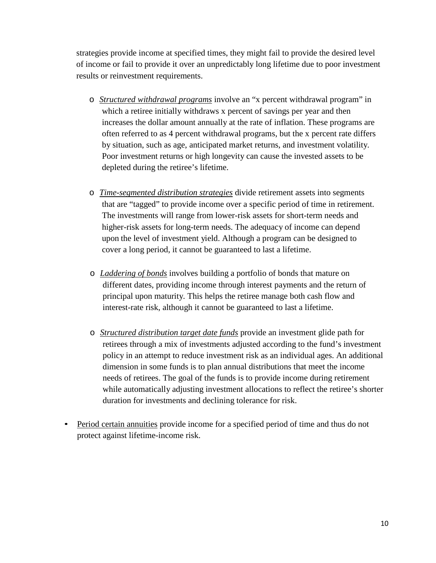strategies provide income at specified times, they might fail to provide the desired level of income or fail to provide it over an unpredictably long lifetime due to poor investment results or reinvestment requirements.

- o *Structured withdrawal programs* involve an "x percent withdrawal program" in which a retiree initially withdraws x percent of savings per year and then increases the dollar amount annually at the rate of inflation. These programs are often referred to as 4 percent withdrawal programs, but the x percent rate differs by situation, such as age, anticipated market returns, and investment volatility. Poor investment returns or high longevity can cause the invested assets to be depleted during the retiree's lifetime.
- o *Time-segmented distribution strategies* divide retirement assets into segments that are "tagged" to provide income over a specific period of time in retirement. The investments will range from lower-risk assets for short-term needs and higher-risk assets for long-term needs. The adequacy of income can depend upon the level of investment yield. Although a program can be designed to cover a long period, it cannot be guaranteed to last a lifetime.
- o *Laddering of bonds* involves building a portfolio of bonds that mature on different dates, providing income through interest payments and the return of principal upon maturity. This helps the retiree manage both cash flow and interest-rate risk, although it cannot be guaranteed to last a lifetime.
- o *Structured distribution target date funds* provide an investment glide path for retirees through a mix of investments adjusted according to the fund's investment policy in an attempt to reduce investment risk as an individual ages. An additional dimension in some funds is to plan annual distributions that meet the income needs of retirees. The goal of the funds is to provide income during retirement while automatically adjusting investment allocations to reflect the retiree's shorter duration for investments and declining tolerance for risk.
- Period certain annuities provide income for a specified period of time and thus do not protect against lifetime-income risk.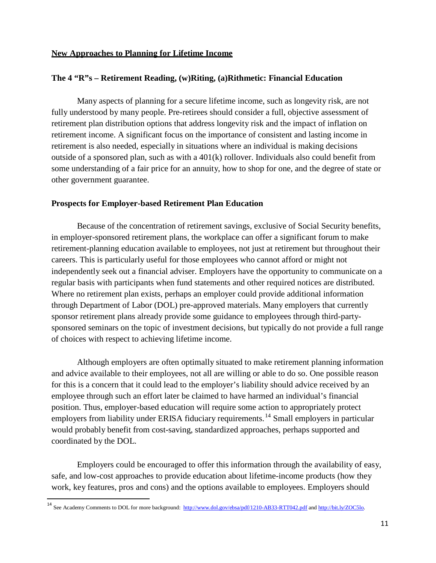#### **New Approaches to Planning for Lifetime Income**

# **The 4 "R"s – Retirement Reading, (w)Riting, (a)Rithmetic: Financial Education**

Many aspects of planning for a secure lifetime income, such as longevity risk, are not fully understood by many people. Pre-retirees should consider a full, objective assessment of retirement plan distribution options that address longevity risk and the impact of inflation on retirement income. A significant focus on the importance of consistent and lasting income in retirement is also needed, especially in situations where an individual is making decisions outside of a sponsored plan, such as with a  $401(k)$  rollover. Individuals also could benefit from some understanding of a fair price for an annuity, how to shop for one, and the degree of state or other government guarantee.

#### **Prospects for Employer-based Retirement Plan Education**

Because of the concentration of retirement savings, exclusive of Social Security benefits, in employer-sponsored retirement plans, the workplace can offer a significant forum to make retirement-planning education available to employees, not just at retirement but throughout their careers. This is particularly useful for those employees who cannot afford or might not independently seek out a financial adviser. Employers have the opportunity to communicate on a regular basis with participants when fund statements and other required notices are distributed. Where no retirement plan exists, perhaps an employer could provide additional information through Department of Labor (DOL) pre-approved materials. Many employers that currently sponsor retirement plans already provide some guidance to employees through third-partysponsored seminars on the topic of investment decisions, but typically do not provide a full range of choices with respect to achieving lifetime income.

Although employers are often optimally situated to make retirement planning information and advice available to their employees, not all are willing or able to do so. One possible reason for this is a concern that it could lead to the employer's liability should advice received by an employee through such an effort later be claimed to have harmed an individual's financial position. Thus, employer-based education will require some action to appropriately protect employers from liability under ERISA fiduciary requirements.<sup>[14](#page-10-0)</sup> Small employers in particular would probably benefit from cost-saving, standardized approaches, perhaps supported and coordinated by the DOL.

Employers could be encouraged to offer this information through the availability of easy, safe, and low-cost approaches to provide education about lifetime-income products (how they work, key features, pros and cons) and the options available to employees. Employers should

<span id="page-10-0"></span><sup>&</sup>lt;sup>14</sup> See Academy Comments to DOL for more background:<http://www.dol.gov/ebsa/pdf/1210-AB33-RTT042.pdf> an[d http://bit.ly/ZOC5lo.](http://bit.ly/ZOC5lo)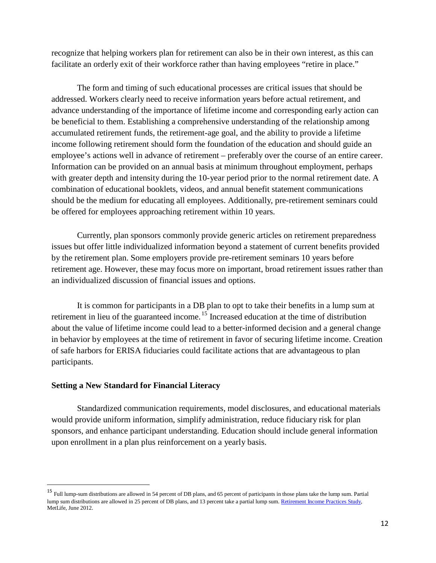recognize that helping workers plan for retirement can also be in their own interest, as this can facilitate an orderly exit of their workforce rather than having employees "retire in place."

The form and timing of such educational processes are critical issues that should be addressed. Workers clearly need to receive information years before actual retirement, and advance understanding of the importance of lifetime income and corresponding early action can be beneficial to them. Establishing a comprehensive understanding of the relationship among accumulated retirement funds, the retirement-age goal, and the ability to provide a lifetime income following retirement should form the foundation of the education and should guide an employee's actions well in advance of retirement – preferably over the course of an entire career. Information can be provided on an annual basis at minimum throughout employment, perhaps with greater depth and intensity during the 10-year period prior to the normal retirement date. A combination of educational booklets, videos, and annual benefit statement communications should be the medium for educating all employees. Additionally, pre-retirement seminars could be offered for employees approaching retirement within 10 years.

Currently, plan sponsors commonly provide generic articles on retirement preparedness issues but offer little individualized information beyond a statement of current benefits provided by the retirement plan. Some employers provide pre-retirement seminars 10 years before retirement age. However, these may focus more on important, broad retirement issues rather than an individualized discussion of financial issues and options.

It is common for participants in a DB plan to opt to take their benefits in a lump sum at retirement in lieu of the guaranteed income.<sup>[15](#page-11-0)</sup> Increased education at the time of distribution about the value of lifetime income could lead to a better-informed decision and a general change in behavior by employees at the time of retirement in favor of securing lifetime income. Creation of safe harbors for ERISA fiduciaries could facilitate actions that are advantageous to plan participants.

#### **Setting a New Standard for Financial Literacy**

Standardized communication requirements, model disclosures, and educational materials would provide uniform information, simplify administration, reduce fiduciary risk for plan sponsors, and enhance participant understanding. Education should include general information upon enrollment in a plan plus reinforcement on a yearly basis.

<span id="page-11-0"></span><sup>&</sup>lt;sup>15</sup> Full lump-sum distributions are allowed in 54 percent of DB plans, and 65 percent of participants in those plans take the lump sum. Partial lump sum distributions are allowed in 25 percent of DB plans, and 13 percent take a partial lump sum[. Retirement](https://www.metlife.com/assets/cao/institutional-retirement/retirement_income_practices_exp1215.pdf) Income Practices Study, MetLife, June 2012.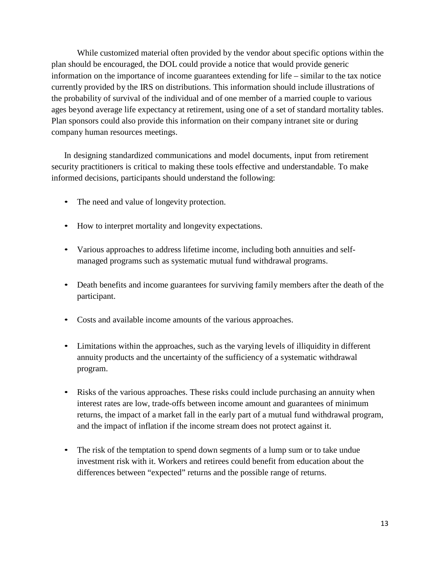While customized material often provided by the vendor about specific options within the plan should be encouraged, the DOL could provide a notice that would provide generic information on the importance of income guarantees extending for life – similar to the tax notice currently provided by the IRS on distributions. This information should include illustrations of the probability of survival of the individual and of one member of a married couple to various ages beyond average life expectancy at retirement, using one of a set of standard mortality tables. Plan sponsors could also provide this information on their company intranet site or during company human resources meetings.

In designing standardized communications and model documents, input from retirement security practitioners is critical to making these tools effective and understandable. To make informed decisions, participants should understand the following:

- The need and value of longevity protection.
- How to interpret mortality and longevity expectations.
- Various approaches to address lifetime income, including both annuities and selfmanaged programs such as systematic mutual fund withdrawal programs.
- Death benefits and income guarantees for surviving family members after the death of the participant.
- Costs and available income amounts of the various approaches.
- Limitations within the approaches, such as the varying levels of illiquidity in different annuity products and the uncertainty of the sufficiency of a systematic withdrawal program.
- Risks of the various approaches. These risks could include purchasing an annuity when interest rates are low, trade-offs between income amount and guarantees of minimum returns, the impact of a market fall in the early part of a mutual fund withdrawal program, and the impact of inflation if the income stream does not protect against it.
- The risk of the temptation to spend down segments of a lump sum or to take undue investment risk with it. Workers and retirees could benefit from education about the differences between "expected" returns and the possible range of returns.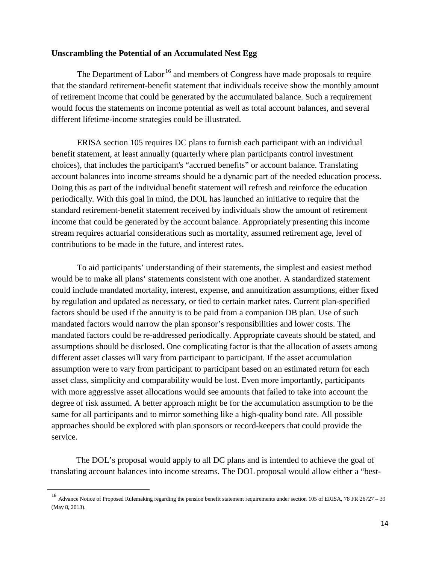# **Unscrambling the Potential of an Accumulated Nest Egg**

The Department of Labor<sup>[16](#page-13-0)</sup> and members of Congress have made proposals to require that the standard retirement-benefit statement that individuals receive show the monthly amount of retirement income that could be generated by the accumulated balance. Such a requirement would focus the statements on income potential as well as total account balances, and several different lifetime-income strategies could be illustrated.

ERISA section 105 requires DC plans to furnish each participant with an individual benefit statement, at least annually (quarterly where plan participants control investment choices), that includes the participant's "accrued benefits" or account balance. Translating account balances into income streams should be a dynamic part of the needed education process. Doing this as part of the individual benefit statement will refresh and reinforce the education periodically. With this goal in mind, the DOL has launched an initiative to require that the standard retirement-benefit statement received by individuals show the amount of retirement income that could be generated by the account balance. Appropriately presenting this income stream requires actuarial considerations such as mortality, assumed retirement age, level of contributions to be made in the future, and interest rates.

To aid participants' understanding of their statements, the simplest and easiest method would be to make all plans' statements consistent with one another. A standardized statement could include mandated mortality, interest, expense, and annuitization assumptions, either fixed by regulation and updated as necessary, or tied to certain market rates. Current plan-specified factors should be used if the annuity is to be paid from a companion DB plan. Use of such mandated factors would narrow the plan sponsor's responsibilities and lower costs. The mandated factors could be re-addressed periodically. Appropriate caveats should be stated, and assumptions should be disclosed. One complicating factor is that the allocation of assets among different asset classes will vary from participant to participant. If the asset accumulation assumption were to vary from participant to participant based on an estimated return for each asset class, simplicity and comparability would be lost. Even more importantly, participants with more aggressive asset allocations would see amounts that failed to take into account the degree of risk assumed. A better approach might be for the accumulation assumption to be the same for all participants and to mirror something like a high-quality bond rate. All possible approaches should be explored with plan sponsors or record-keepers that could provide the service.

The DOL's proposal would apply to all DC plans and is intended to achieve the goal of translating account balances into income streams. The DOL proposal would allow either a "best-

<span id="page-13-0"></span><sup>&</sup>lt;sup>16</sup> Advance Notice of Proposed Rulemaking regarding the pension benefit statement requirements under section 105 of ERISA, 78 FR 26727 – 39 (May 8, 2013).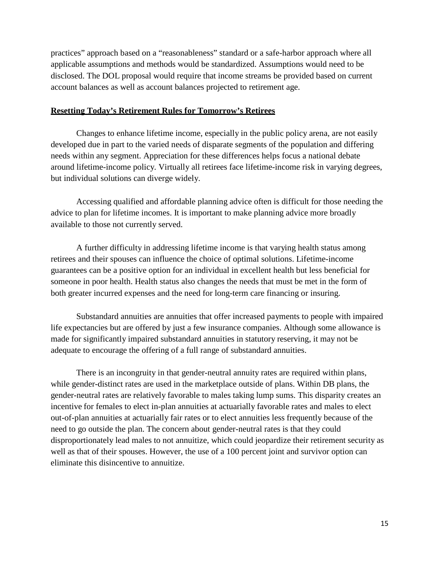practices" approach based on a "reasonableness" standard or a safe-harbor approach where all applicable assumptions and methods would be standardized. Assumptions would need to be disclosed. The DOL proposal would require that income streams be provided based on current account balances as well as account balances projected to retirement age.

#### **Resetting Today's Retirement Rules for Tomorrow's Retirees**

Changes to enhance lifetime income, especially in the public policy arena, are not easily developed due in part to the varied needs of disparate segments of the population and differing needs within any segment. Appreciation for these differences helps focus a national debate around lifetime-income policy. Virtually all retirees face lifetime-income risk in varying degrees, but individual solutions can diverge widely.

Accessing qualified and affordable planning advice often is difficult for those needing the advice to plan for lifetime incomes. It is important to make planning advice more broadly available to those not currently served.

A further difficulty in addressing lifetime income is that varying health status among retirees and their spouses can influence the choice of optimal solutions. Lifetime-income guarantees can be a positive option for an individual in excellent health but less beneficial for someone in poor health. Health status also changes the needs that must be met in the form of both greater incurred expenses and the need for long-term care financing or insuring.

Substandard annuities are annuities that offer increased payments to people with impaired life expectancies but are offered by just a few insurance companies. Although some allowance is made for significantly impaired substandard annuities in statutory reserving, it may not be adequate to encourage the offering of a full range of substandard annuities.

There is an incongruity in that gender-neutral annuity rates are required within plans, while gender-distinct rates are used in the marketplace outside of plans. Within DB plans, the gender-neutral rates are relatively favorable to males taking lump sums. This disparity creates an incentive for females to elect in-plan annuities at actuarially favorable rates and males to elect out-of-plan annuities at actuarially fair rates or to elect annuities less frequently because of the need to go outside the plan. The concern about gender-neutral rates is that they could disproportionately lead males to not annuitize, which could jeopardize their retirement security as well as that of their spouses. However, the use of a 100 percent joint and survivor option can eliminate this disincentive to annuitize.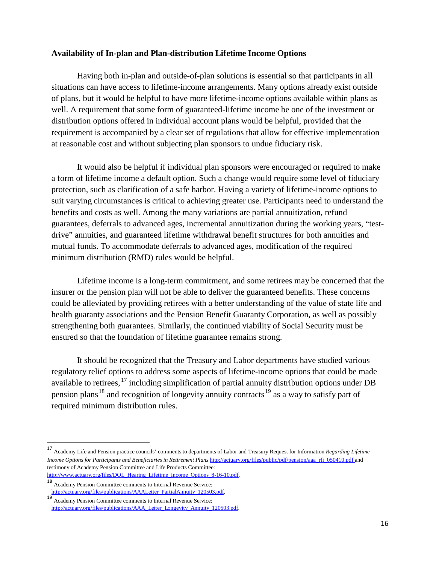# **Availability of In-plan and Plan-distribution Lifetime Income Options**

Having both in-plan and outside-of-plan solutions is essential so that participants in all situations can have access to lifetime-income arrangements. Many options already exist outside of plans, but it would be helpful to have more lifetime-income options available within plans as well. A requirement that some form of guaranteed-lifetime income be one of the investment or distribution options offered in individual account plans would be helpful, provided that the requirement is accompanied by a clear set of regulations that allow for effective implementation at reasonable cost and without subjecting plan sponsors to undue fiduciary risk.

It would also be helpful if individual plan sponsors were encouraged or required to make a form of lifetime income a default option. Such a change would require some level of fiduciary protection, such as clarification of a safe harbor. Having a variety of lifetime-income options to suit varying circumstances is critical to achieving greater use. Participants need to understand the benefits and costs as well. Among the many variations are partial annuitization, refund guarantees, deferrals to advanced ages, incremental annuitization during the working years, "testdrive" annuities, and guaranteed lifetime withdrawal benefit structures for both annuities and mutual funds. To accommodate deferrals to advanced ages, modification of the required minimum distribution (RMD) rules would be helpful.

Lifetime income is a long-term commitment, and some retirees may be concerned that the insurer or the pension plan will not be able to deliver the guaranteed benefits. These concerns could be alleviated by providing retirees with a better understanding of the value of state life and health guaranty associations and the Pension Benefit Guaranty Corporation, as well as possibly strengthening both guarantees. Similarly, the continued viability of Social Security must be ensured so that the foundation of lifetime guarantee remains strong.

It should be recognized that the Treasury and Labor departments have studied various regulatory relief options to address some aspects of lifetime-income options that could be made available to retirees, <sup>[17](#page-15-0)</sup> including simplification of partial annuity distribution options under DB pension plans<sup>[18](#page-15-1)</sup> and recognition of longevity annuity contracts<sup>[19](#page-15-2)</sup> as a way to satisfy part of required minimum distribution rules.

<span id="page-15-0"></span> <sup>17</sup> Academy Life and Pension practice councils' comments to departments of Labor and Treasury Request for Information *Regarding Lifetime Income Options for Participants and Beneficiaries in Retirement Plans* [http://actuary.org/files/public/pdf/pension/aaa\\_rfi\\_050410.pdf](http://actuary.org/files/public/pdf/pension/aaa_rfi_050410.pdf) and testimony of Academy Pension Committee and Life Products Committee: [http://www.actuary.org/files/DOL\\_Hearing\\_Lifetime\\_Income\\_Options\\_8-16-10.pdf.](http://www.actuary.org/files/DOL_Hearing_Lifetime_Income_Options_8-16-10.pdf)

<span id="page-15-1"></span><sup>18</sup> Academy Pension Committee comments to Internal Revenue Service: [http://actuary.org/files/publications/AAALetter\\_PartialAnnuity\\_120503.pdf.](http://actuary.org/files/publications/AAALetter_PartialAnnuity_120503.pdf)<br>19 Acedeau Brazia: Councities community to Istanal Brunne Samise.

<span id="page-15-2"></span>Academy Pension Committee comments to Internal Revenue Service: [http://actuary.org/files/publications/AAA\\_Letter\\_Longevity\\_Annuity\\_120503.pdf.](http://actuary.org/files/publications/AAA_Letter_Longevity_Annuity_120503.pdf)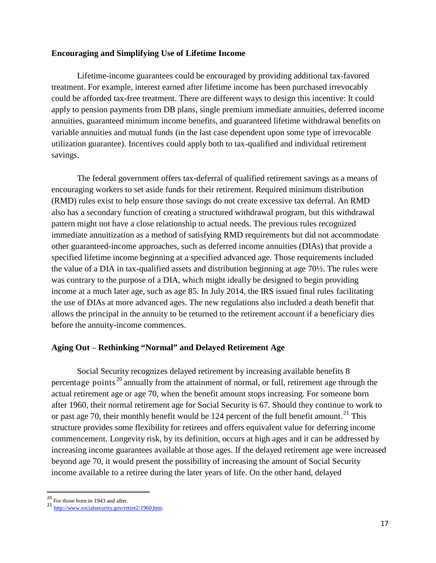### **Encouraging and Simplifying Use of Lifetime Income**

Lifetime-income guarantees could be encouraged by providing additional tax-favored treatment. For example, interest earned after lifetime income has been purchased irrevocably could be afforded tax-free treatment. There are different ways to design this incentive: It could apply to pension payments from DB plans, single premium immediate annuities, deferred income annuities, guaranteed minimum income benefits, and guaranteed lifetime withdrawal benefits on variable annuities and mutual funds (in the last case dependent upon some type of irrevocable utilization guarantee). Incentives could apply both to tax-qualified and individual retirement savings.

The federal government offers tax-deferral of qualified retirement savings as a means of encouraging workers to set aside funds for their retirement. Required minimum distribution (RMD) rules exist to help ensure those savings do not create excessive tax deferral. An RMD also has a secondary function of creating a structured withdrawal program, but this withdrawal pattern might not have a close relationship to actual needs. The previous rules recognized immediate annuitization as a method of satisfying RMD requirements but did not accommodate other guaranteed-income approaches, such as deferred income annuities (DIAs) that provide a specified lifetime income beginning at a specified advanced age. Those requirements included the value of a DIA in tax-qualified assets and distribution beginning at age 70½. The rules were was contrary to the purpose of a DIA, which might ideally be designed to begin providing income at a much later age, such as age 85. In July 2014, the IRS issued final rules facilitating the use of DIAs at more advanced ages. The new regulations also included a death benefit that allows the principal in the annuity to be returned to the retirement account if a beneficiary dies before the annuity-income commences.

# **Aging Out** – **Rethinking "Normal" and Delayed Retirement Age**

Social Security recognizes delayed retirement by increasing available benefits 8 percentage points [20](#page-16-0) annually from the attainment of normal, or full, retirement age through the actual retirement age or age 70, when the benefit amount stops increasing. For someone born after 1960, their normal retirement age for Social Security is 67. Should they continue to work to or past age 70, their monthly benefit would be 124 percent of the full benefit amount.<sup>[21](#page-16-1)</sup> This structure provides some flexibility for retirees and offers equivalent value for deferring income commencement. Longevity risk, by its definition, occurs at high ages and it can be addressed by increasing income guarantees available at those ages. If the delayed retirement age were increased beyond age 70, it would present the possibility of increasing the amount of Social Security income available to a retiree during the later years of life. On the other hand, delayed

<span id="page-16-1"></span><span id="page-16-0"></span><sup>&</sup>lt;sup>20</sup> For those born in 1943 and after.<br><sup>21</sup> [http://www.socialsecurity.gov/retire2/1960.htm.](http://www.socialsecurity.gov/retire2/1960.htm)